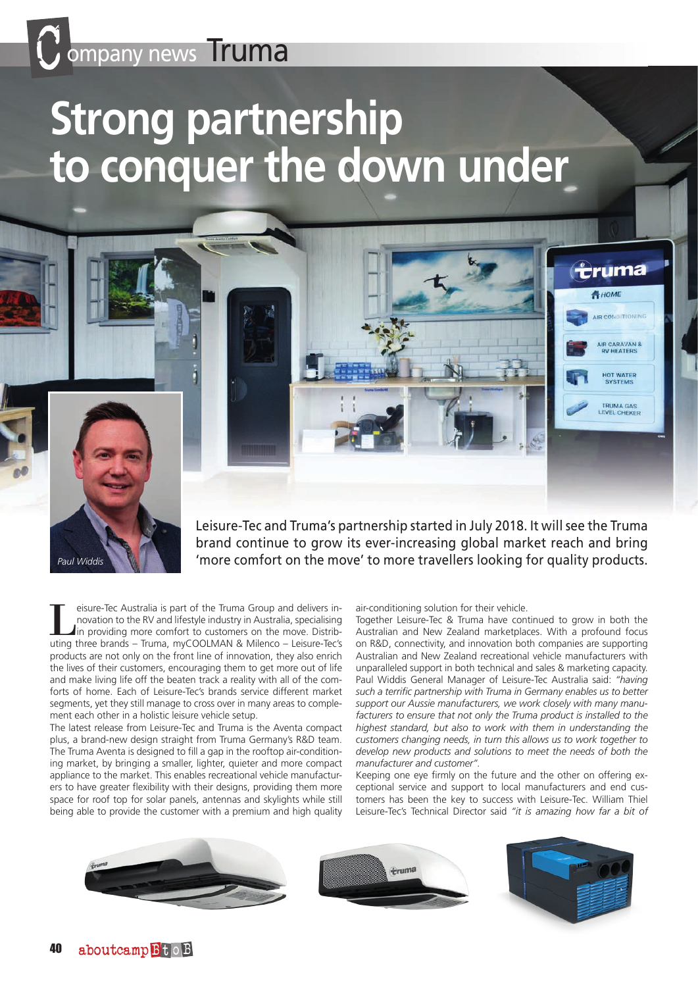# **Strong partnership to conquer the down under**



Leisure-Tec and Truma's partnership started in July 2018. It will see the Truma brand continue to grow its ever-increasing global market reach and bring 'more comfort on the move' to more travellers looking for quality products.

eisure-Tec Australia is part of the Truma Group and delivers innovation to the RV and lifestyle industry in Australia, specialising In providing more comfort to customers on the move. Distributing three brands – Truma, myCOOLMAN & Milenco – Leisure-Tec's products are not only on the front line of innovation, they also enrich the lives of their customers, encouraging them to get more out of life and make living life off the beaten track a reality with all of the comforts of home. Each of Leisure-Tec's brands service different market segments, yet they still manage to cross over in many areas to complement each other in a holistic leisure vehicle setup.

The latest release from Leisure-Tec and Truma is the Aventa compact plus, a brand-new design straight from Truma Germany's R&D team. The Truma Aventa is designed to fill a gap in the rooftop air-conditioning market, by bringing a smaller, lighter, quieter and more compact appliance to the market. This enables recreational vehicle manufacturers to have greater flexibility with their designs, providing them more space for roof top for solar panels, antennas and skylights while still being able to provide the customer with a premium and high quality air-conditioning solution for their vehicle.

Together Leisure-Tec & Truma have continued to grow in both the Australian and New Zealand marketplaces. With a profound focus on R&D, connectivity, and innovation both companies are supporting Australian and New Zealand recreational vehicle manufacturers with unparalleled support in both technical and sales & marketing capacity. Paul Widdis General Manager of Leisure-Tec Australia said: *"having such a terrific partnership with Truma in Germany enables us to better support our Aussie manufacturers, we work closely with many manufacturers to ensure that not only the Truma product is installed to the highest standard, but also to work with them in understanding the customers changing needs, in turn this allows us to work together to develop new products and solutions to meet the needs of both the manufacturer and customer".*

<del>eruma</del> HOME

**LIR CONDITION** 

AIR CARAVAN &<br>RV HEATERS

HOT WATER<br>SYSTEMS

TRUMA GAS

Keeping one eye firmly on the future and the other on offering exceptional service and support to local manufacturers and end customers has been the key to success with Leisure-Tec. William Thiel Leisure-Tec's Technical Director said *"it is amazing how far a bit of*